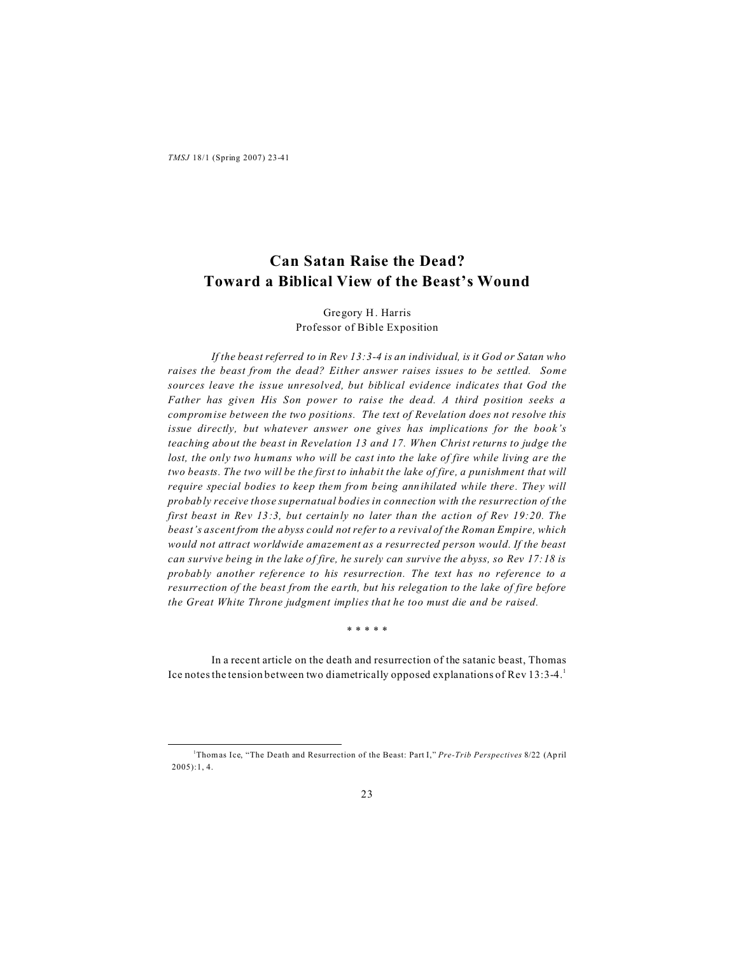# **Can Satan Raise the Dead? Toward a Biblical View of the Beast's Wound**

# Gregory H. Harris Professor of Bible Exposition

*If the beast referred to in Rev 13:3-4 is an individual, is it God or Satan who raises the beast from the dead? Either answer raises issues to be settled. Some sources leave the issue unresolved, but biblical evidence indicates that God the Father has given His Son power to raise the dead. A third position seeks a compromise between the two positions. The text of Revelation does not resolve this issue directly, but whatever answer one gives has implications for the book's teaching about the beast in Revelation 13 and 17. When Christ returns to judge the lost, the only two humans who will be cast into the lake of fire while living are the two beasts. The two will be the first to inhabit the lake of fire, a punishment that will require special bodies to keep them from being annihilated while there. They will probably receive those supernatual bodies in connection with the resurrection of the first beast in Rev 13:3, but certainly no later than the action of Rev 19:20. The beast's ascent from the abyss could not refer to a revival of the Roman Empire, which would not attract worldwide amazement as a resurrected person would. If the beast can survive being in the lake of fire, he surely can survive the abyss, so Rev 17:18 is probably another reference to his resurrection. The text has no reference to a resurrection of the beast from the earth, but his relegation to the lake of fire before the Great White Throne judgment implies that he too must die and be raised.*

\* \* \* \* \*

In a recent article on the death and resurrection of the satanic beast, Thomas Ice notes the tension between two diametrically opposed explanations of Rev  $13:3-4$ .

<sup>&</sup>lt;sup>1</sup>Thomas Ice, "The Death and Resurrection of the Beast: Part I," *Pre-Trib Perspectives* 8/22 (April 2005):1, 4.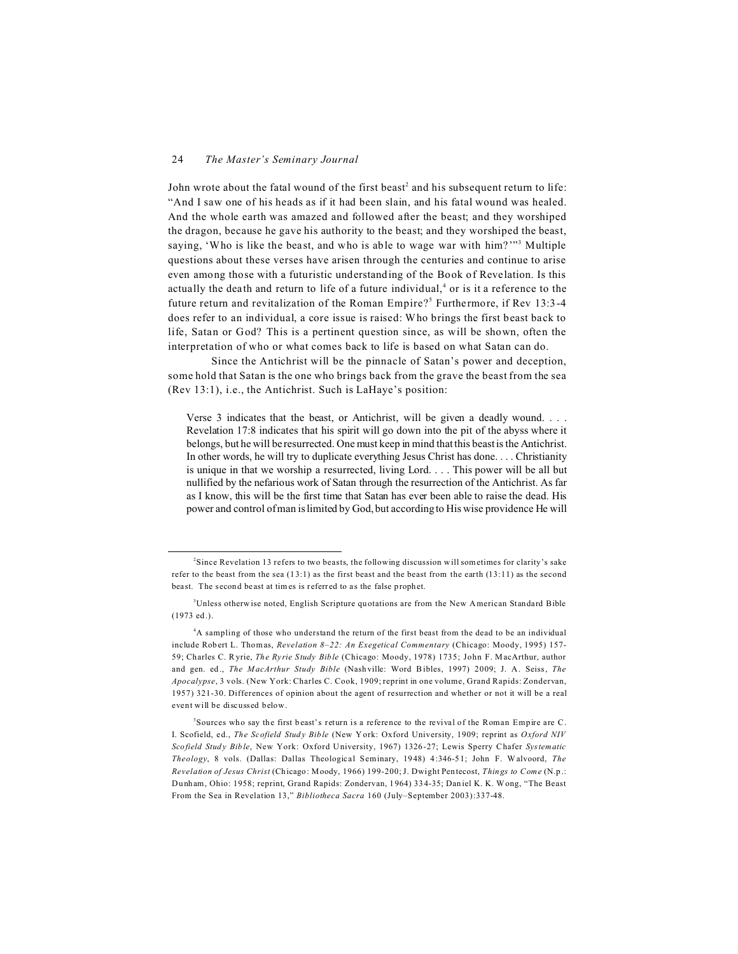John wrote about the fatal wound of the first beast<sup>2</sup> and his subsequent return to life: "And I saw one of his heads as if it had been slain, and his fatal wound was healed. And the whole earth was amazed and followed after the beast; and they worshiped the dragon, because he gave his authority to the beast; and they worshiped the beast, saying, 'Who is like the beast, and who is able to wage war with him?'"<sup>3</sup> Multiple questions about these verses have arisen through the centuries and continue to arise even among those with a futuristic understanding of the Book of Revelation. Is this actually the death and return to life of a future individual,<sup>4</sup> or is it a reference to the future return and revitalization of the Roman Empire?<sup>5</sup> Furthermore, if Rev 13:3-4 does refer to an individual, a core issue is raised: Who brings the first beast back to life, Satan or God? This is a pertinent question since, as will be shown, often the interpretation of who or what comes back to life is based on what Satan can do.

Since the Antichrist will be the pinnacle of Satan's power and deception, some hold that Satan is the one who brings back from the grave the beast from the sea (Rev 13:1), i.e., the Antichrist. Such is LaHaye's position:

Verse 3 indicates that the beast, or Antichrist, will be given a deadly wound. . . . Revelation 17:8 indicates that his spirit will go down into the pit of the abyss where it belongs, but he will be resurrected. One must keep in mind that this beast is the Antichrist. In other words, he will try to duplicate everything Jesus Christ has done. . . . Christianity is unique in that we worship a resurrected, living Lord. . . . This power will be all but nullified by the nefarious work of Satan through the resurrection of the Antichrist. As far as I know, this will be the first time that Satan has ever been able to raise the dead. His power and control of man is limited by God, but according to His wise providence He will

<sup>2</sup> Since Revelation 13 refers to two beasts, the following discussion will sometimes for clarity's sake refer to the beast from the sea (1 3:1) as the first beast and the beast from the earth (13:11) as the second beast. The second beast at times is referred to as the false prophet.

<sup>&</sup>lt;sup>3</sup>Unless otherwise noted, English Scripture quotations are from the New American Standard Bible (1973 ed .).

<sup>4</sup>A sampling of those who understand the return of the first beast from the dead to be an individual include Rob ert L. Thomas, *Revelation 8–22: An Exegetical Commentary* (Chicago: Moody, 1995) 157- 59; Charles C. Ryrie, *The Ry rie Study Bible* (Chicago: Moody, 1978) 1735; John F. MacArthur, author and gen. ed ., *The M acArthur Study Bible* (Nash ville: Word Bibles, 1997) 2009; J. A . Seiss, *The Apocalypse*, 3 vols. (New York: Charles C. Cook, 1909; reprint in one volume, Grand Rapids: Zondervan, 1957) 321-30. Differences of opinion about the agent of resurrection and whether or not it will be a real event will be discussed below.

Sources who say the first beast's return is a reference to the revival of the Roman Empire are C. I. Scofield, ed., *The Scofield Stud y Bib le* (New Y ork: Oxford University, 1909; reprint as *Oxford NIV Scofield Stud y Bib le*, New York: Oxford University, 1967) 1326-27; Lewis Sperry Chafer *Systematic Theology*, 8 vols. (Dallas: Dallas Theological Seminary, 1948) 4:346-51; John F. Walvoord, *The Revelation of Jesus Christ* (Ch icago: Moody, 1966) 199-200; J. Dwight Pentecost, *Things to Come* (N.p .: Dunham, Ohio: 1958; reprint, Grand Rapids: Zondervan, 1964) 33 4-35; Dan iel K. K. Wong, "The Beast From the Sea in Revelation 13," *Bibliotheca Sacra* 160 (July–September 2003):337-48.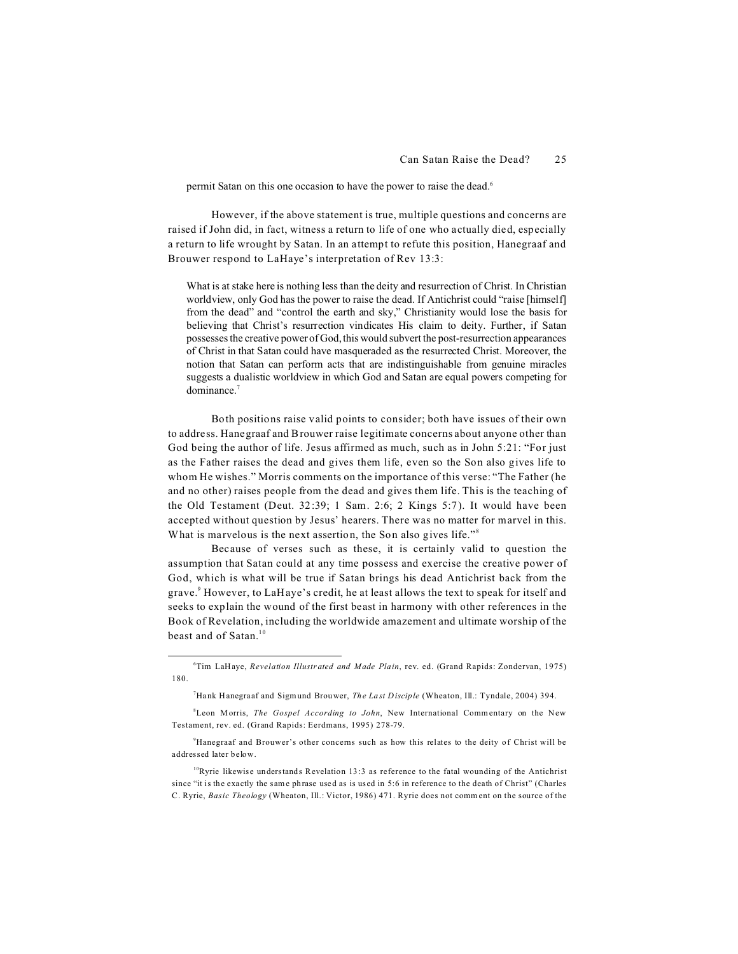permit Satan on this one occasion to have the power to raise the dead.<sup>6</sup>

However, if the above statement is true, multiple questions and concerns are raised if John did, in fact, witness a return to life of one who actually died, especially a return to life wrought by Satan. In an attempt to refute this position, Hanegraaf and Brouwer respond to LaHaye's interpretation of Rev 13:3:

What is at stake here is nothing less than the deity and resurrection of Christ. In Christian worldview, only God has the power to raise the dead. If Antichrist could "raise [himself] from the dead" and "control the earth and sky," Christianity would lose the basis for believing that Christ's resurrection vindicates His claim to deity. Further, if Satan possesses the creative power of God, this would subvert the post-resurrection appearances of Christ in that Satan could have masqueraded as the resurrected Christ. Moreover, the notion that Satan can perform acts that are indistinguishable from genuine miracles suggests a dualistic worldview in which God and Satan are equal powers competing for dominance.<sup>7</sup>

Both positions raise valid points to consider; both have issues of their own to address. Hanegraaf and Brouwer raise legitimate concerns about anyone other than God being the author of life. Jesus affirmed as much, such as in John 5:21: "For just as the Father raises the dead and gives them life, even so the Son also gives life to whom He wishes." Morris comments on the importance of this verse: "The Father (he and no other) raises people from the dead and gives them life. This is the teaching of the Old Testament (Deut. 32:39; 1 Sam. 2:6; 2 Kings 5:7). It would have been accepted without question by Jesus' hearers. There was no matter for marvel in this. What is marvelous is the next assertion, the Son also gives life."<sup>8</sup>

Because of verses such as these, it is certainly valid to question the assumption that Satan could at any time possess and exercise the creative power of God, which is what will be true if Satan brings his dead Antichrist back from the grave.<sup>9</sup> However, to LaHaye's credit, he at least allows the text to speak for itself and seeks to explain the wound of the first beast in harmony with other references in the Book of Revelation, including the worldwide amazement and ultimate worship of the beast and of Satan.<sup>10</sup>

<sup>9</sup>Hanegraaf and Brouwer's other concerns such as how this relates to the deity of Christ will be addressed later below.

 $10$ Ryrie likewise understands Revelation 13:3 as reference to the fatal wounding of the Antichrist since "it is the exactly the same phrase used as is used in 5:6 in reference to the death of Christ" (Charles C. Ryrie, *Basic Theology* (Wheaton, Ill.: Victor, 1986) 471. Ryrie does not comm ent on the source of the

<sup>6</sup>Tim LaHaye, *Revelation Illustr ated and Made Plain*, rev. ed. (Grand Rapids: Zondervan, 1975) 180.

<sup>7</sup>Hank Hanegra af and Sigmund Brouwer, *The La st Disciple* (Wheaton, Ill.: Tyndale, 2004) 394.

<sup>&</sup>lt;sup>8</sup>Leon Morris, *The Gospel According to John*, New International Commentary on the New Testament, rev. ed. (Grand Rapids: Eerdmans, 1995) 278-79.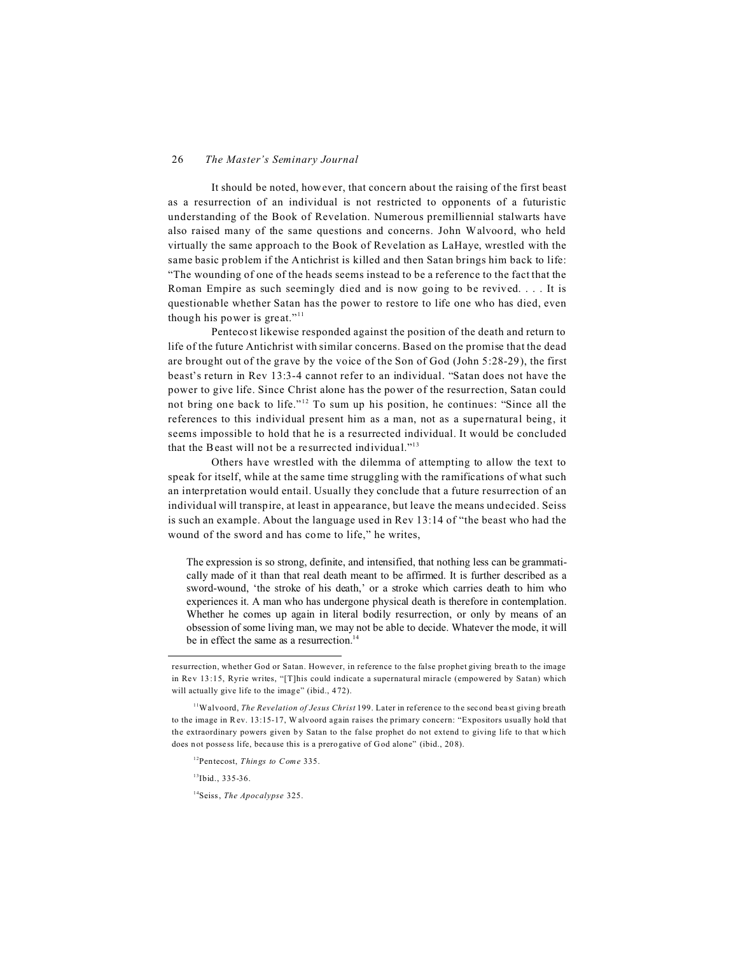It should be noted, however, that concern about the raising of the first beast as a resurrection of an individual is not restricted to opponents of a futuristic understanding of the Book of Revelation. Numerous premilliennial stalwarts have also raised many of the same questions and concerns. John Walvoord, who held virtually the same approach to the Book of Revelation as LaHaye, wrestled with the same basic problem if the Antichrist is killed and then Satan brings him back to life: "The wounding of one of the heads seems instead to be a reference to the fact that the Roman Empire as such seemingly died and is now going to be revived. . . . It is questionable whether Satan has the power to restore to life one who has died, even though his power is great."<sup>11</sup>

Pentecost likewise responded against the position of the death and return to life of the future Antichrist with similar concerns. Based on the promise that the dead are brought out of the grave by the voice of the Son of God (John 5:28-29), the first beast's return in Rev 13:3-4 cannot refer to an individual. "Satan does not have the power to give life. Since Christ alone has the power of the resurrection, Satan could not bring one back to life."<sup>12</sup> To sum up his position, he continues: "Since all the references to this individual present him as a man, not as a supernatural being, it seems impossible to hold that he is a resurrected individual. It would be concluded that the Beast will not be a resurrected individual."<sup>13</sup>

Others have wrestled with the dilemma of attempting to allow the text to speak for itself, while at the same time struggling with the ramifications of what such an interpretation would entail. Usually they conclude that a future resurrection of an individual will transpire, at least in appearance, but leave the means undecided. Seiss is such an example. About the language used in Rev 13:14 of "the beast who had the wound of the sword and has come to life," he writes,

The expression is so strong, definite, and intensified, that nothing less can be grammatically made of it than that real death meant to be affirmed. It is further described as a sword-wound, 'the stroke of his death,' or a stroke which carries death to him who experiences it. A man who has undergone physical death is therefore in contemplation. Whether he comes up again in literal bodily resurrection, or only by means of an obsession of some living man, we may not be able to decide. Whatever the mode, it will be in effect the same as a resurrection.<sup>14</sup>

<sup>11</sup>Walvoord, *The Revelation of Jesus Christ* 199. Later in reference to the second beast giving breath to the image in Rev. 13:15-17, W alvoord again raises the primary concern: "Expositors usually hold that the extraordinary powers given by Satan to the false prophet do not extend to giving life to that w hich does not possess life, because this is a prerogative of God alone" (ibid., 208).

 $13$ Ibid., 335-36.

<sup>14</sup>Seiss, *The Apocalypse* 325.

resurrection, whether God or Satan. However, in reference to the false prophet giving breath to the image in Rev 13:15, Ryrie writes, "[T]his could indicate a supernatural miracle (empowered by Satan) which will actually give life to the image" (ibid., 472).

<sup>12</sup>Pentecost, *Things to Come* 335.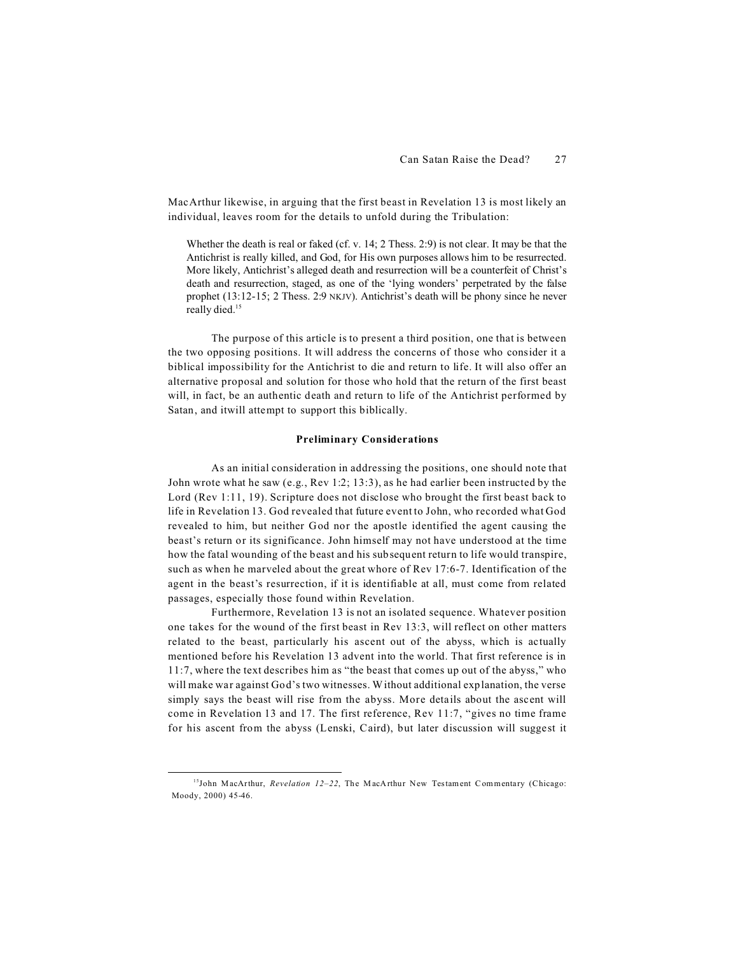MacArthur likewise, in arguing that the first beast in Revelation 13 is most likely an individual, leaves room for the details to unfold during the Tribulation:

Whether the death is real or faked (cf. v. 14; 2 Thess. 2:9) is not clear. It may be that the Antichrist is really killed, and God, for His own purposes allows him to be resurrected. More likely, Antichrist's alleged death and resurrection will be a counterfeit of Christ's death and resurrection, staged, as one of the 'lying wonders' perpetrated by the false prophet (13:12-15; 2 Thess. 2:9 NKJV). Antichrist's death will be phony since he never really died.<sup>15</sup>

The purpose of this article is to present a third position, one that is between the two opposing positions. It will address the concerns of those who consider it a biblical impossibility for the Antichrist to die and return to life. It will also offer an alternative proposal and solution for those who hold that the return of the first beast will, in fact, be an authentic death and return to life of the Antichrist performed by Satan, and itwill attempt to support this biblically.

#### **Preliminary Considerations**

As an initial consideration in addressing the positions, one should note that John wrote what he saw (e.g., Rev 1:2; 13:3), as he had earlier been instructed by the Lord (Rev 1:11, 19). Scripture does not disclose who brought the first beast back to life in Revelation 13. God revealed that future event to John, who recorded what God revealed to him, but neither God nor the apostle identified the agent causing the beast's return or its significance. John himself may not have understood at the time how the fatal wounding of the beast and his subsequent return to life would transpire, such as when he marveled about the great whore of Rev 17:6-7. Identification of the agent in the beast's resurrection, if it is identifiable at all, must come from related passages, especially those found within Revelation.

Furthermore, Revelation 13 is not an isolated sequence. Whatever position one takes for the wound of the first beast in Rev 13:3, will reflect on other matters related to the beast, particularly his ascent out of the abyss, which is actually mentioned before his Revelation 13 advent into the world. That first reference is in 11:7, where the text describes him as "the beast that comes up out of the abyss," who will make war against God's two witnesses. Without additional explanation, the verse simply says the beast will rise from the abyss. More details about the ascent will come in Revelation 13 and 17. The first reference, Rev 11:7, "gives no time frame for his ascent from the abyss (Lenski, Caird), but later discussion will suggest it

<sup>&</sup>lt;sup>15</sup>John MacArthur, *Revelation 12-22*, The MacArthur New Testament Commentary (Chicago: Moody, 2000) 45-46.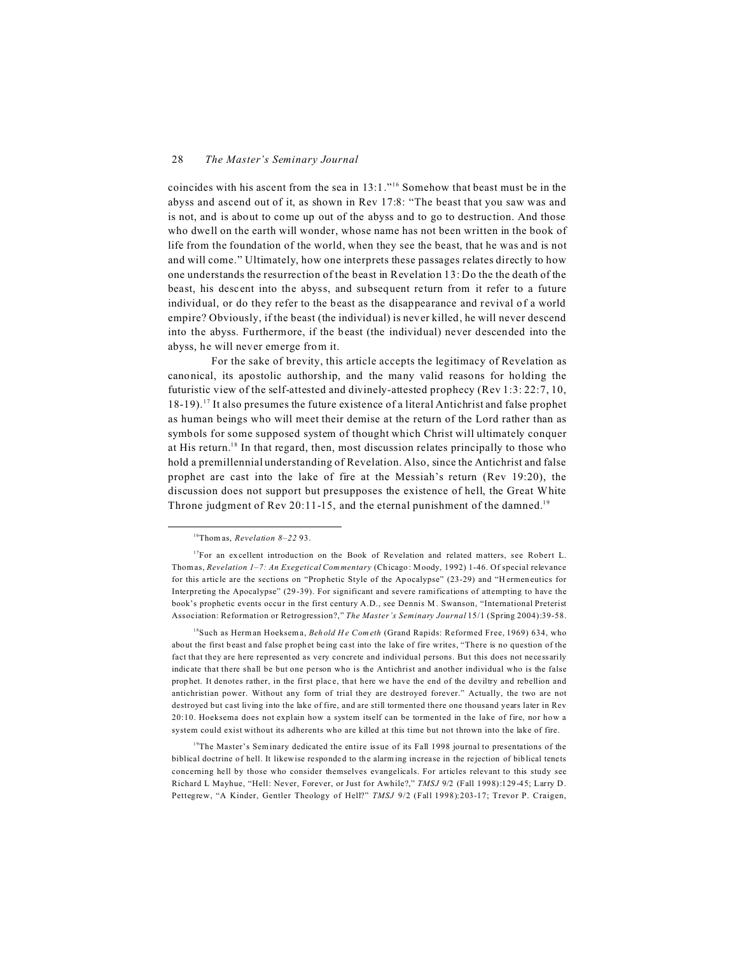coincides with his ascent from the sea in 13:1."<sup>16</sup> Somehow that beast must be in the abyss and ascend out of it, as shown in Rev 17:8: "The beast that you saw was and is not, and is about to come up out of the abyss and to go to destruction. And those who dwell on the earth will wonder, whose name has not been written in the book of life from the foundation of the world, when they see the beast, that he was and is not and will come." Ultimately, how one interprets these passages relates directly to how one understands the resurrection of the beast in Revelation 13: Do the the death of the beast, his descent into the abyss, and subsequent return from it refer to a future individual, or do they refer to the beast as the disappearance and revival of a world empire? Obviously, if the beast (the individual) is never killed, he will never descend into the abyss. Furthermore, if the beast (the individual) never descended into the abyss, he will never emerge from it.

For the sake of brevity, this article accepts the legitimacy of Revelation as canonical, its apostolic authorship, and the many valid reasons for holding the futuristic view of the self-attested and divinely-attested prophecy (Rev 1:3: 22:7, 10, 18-19).<sup>17</sup> It also presumes the future existence of a literal Antichrist and false prophet as human beings who will meet their demise at the return of the Lord rather than as symbols for some supposed system of thought which Christ will ultimately conquer at His return.<sup>18</sup> In that regard, then, most discussion relates principally to those who hold a premillennial understanding of Revelation. Also, since the Antichrist and false prophet are cast into the lake of fire at the Messiah's return (Rev 19:20), the discussion does not support but presupposes the existence of hell, the Great White Throne judgment of Rev 20:11-15, and the eternal punishment of the damned.<sup>19</sup>

<sup>18</sup>Such as Herman Hoeksema, *Behold He Cometh* (Grand Rapids: Reformed Free, 1969) 634, who about the first beast and false prophet being cast into the lake of fire writes, "There is no question of the fact that they are here represented as very concrete and individual persons. But this does not necessarily indic ate that there shall be but one person who is the Antichrist and another individual who is the false prop het. It denotes rather, in the first plac e, that here we have the end of the deviltry and rebellion and antichristian power. Without any form of trial they are destroyed forever." Actually, the two are not destroyed but cast living into the lake of fire, and are still tormented there one thousand years later in Rev 20:10. Hoeksema does not explain how a system itself can be tormented in the lake of fire, nor how a system could exist without its adherents who are killed at this time but not thrown into the lake of fire.

<sup>19</sup>The Master's Seminary dedicated the entire issue of its Fall 1998 journal to presentations of the biblical doctrine of hell. It likewise responded to the alarming increase in the rejection of biblical tenets concerning hell by those who consider themselves evangelicals. For articles relevant to this study see Richard L Mayhue, "Hell: Never, Forever, or Just for Awhile?," *TMSJ* 9/2 (Fall 1998):129-45; Larry D. Pettegrew, "A Kinder, Gentler Theology of Hell?" *TMSJ* 9/2 (Fall 1998):203-17; Trevor P. Craigen,

<sup>16</sup>Thom as, *Revelation 8–22* 93.

 $17$ For an excellent introduction on the Book of Revelation and related matters, see Robert L. Thomas, *Revelation 1–7: An Exegetical Com mentary* (Ch icago: Moody, 1992) 1-46. Of special relevance for this article are the sections on "Prophetic Style of the Apocalypse" (23-29) and "Hermen eutics for Interpreting the Apocalypse" (29-39). For significant and severe ramifications of attempting to have the book's prophetic events occur in the first century A.D., see Dennis M. Swanson, "International Preterist Association: Reformation or Retrogression?," *The Master's Seminary Journal* 15/1 (Spring 2004):39-58.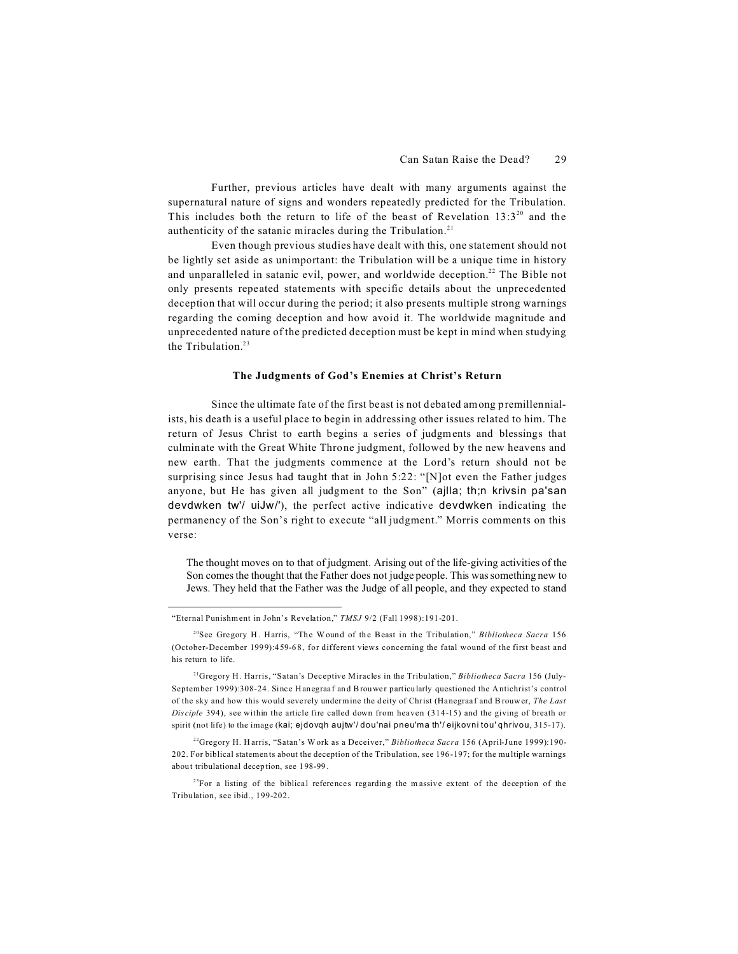Further, previous articles have dealt with many arguments against the supernatural nature of signs and wonders repeatedly predicted for the Tribulation. This includes both the return to life of the beast of Revelation  $13:3^{20}$  and the authenticity of the satanic miracles during the Tribulation.<sup>21</sup>

Even though previous studies have dealt with this, one statement should not be lightly set aside as unimportant: the Tribulation will be a unique time in history and unparalleled in satanic evil, power, and worldwide deception.<sup>22</sup> The Bible not only presents repeated statements with specific details about the unprecedented deception that will occur during the period; it also presents multiple strong warnings regarding the coming deception and how avoid it. The worldwide magnitude and unprecedented nature of the predicted deception must be kept in mind when studying the Tribulation.<sup>23</sup>

#### **The Judgments of God's Enemies at Christ's Return**

Since the ultimate fate of the first beast is not debated among premillennialists, his death is a useful place to begin in addressing other issues related to him. The return of Jesus Christ to earth begins a series of judgments and blessings that culminate with the Great White Throne judgment, followed by the new heavens and new earth. That the judgments commence at the Lord's return should not be surprising since Jesus had taught that in John 5:22: "[N]ot even the Father judges anyone, but He has given all judgment to the Son" (ajlla; th;n krivsin pa'san devdwken tw'/ uiJw/'), the perfect active indicative devdwken indicating the permanency of the Son's right to execute "all judgment." Morris comments on this verse:

The thought moves on to that of judgment. Arising out of the life-giving activities of the Son comes the thought that the Father does not judge people. This was something new to Jews. They held that the Father was the Judge of all people, and they expected to stand

<sup>&</sup>quot;Eternal Punishment in John's Revelation," *TMSJ* 9/2 (Fall 1998):191-201.

<sup>&</sup>lt;sup>20</sup>See Gregory H. Harris, "The Wound of the Beast in the Tribulation," *Bibliotheca Sacra* 156 (October-December 199 9):459-6 8, for different views concerning the fatal wound of the first beast and his return to life.

<sup>21</sup>Gregory H. Harris, "Satan's Deceptive Miracles in the Tribulation," *Bibliotheca Sacra* 156 (July-September 1999):308-24. Since Hanegraaf and Brouwer particularly questioned the Antichrist's control of the sky and how this would seve rely undermine the deity of Christ (Hanegraa f and Brouwer, *The Last Dis ciple* 394), see within the article fire called down from heaven (314-15) and the giving of breath or spirit (not life) to the image (kai; ejdovqh aujtw'/ dou'nai pneu'ma th'/ eijkovni tou' qhrivou, 315-17).

<sup>22</sup>Gregory H. H arris, "Satan's Work as a Deceiver," *Bibliotheca Sacra* 156 (April-June 1999):190- 202. For biblical statemen ts about the deception of the Tribulation, see 196 -197; for the mu ltiple warnings about tribulational decep tion, see 198-99 .

 $23$ For a listing of the biblical references regarding the massive extent of the deception of the Tribulation, see ibid., 199-202.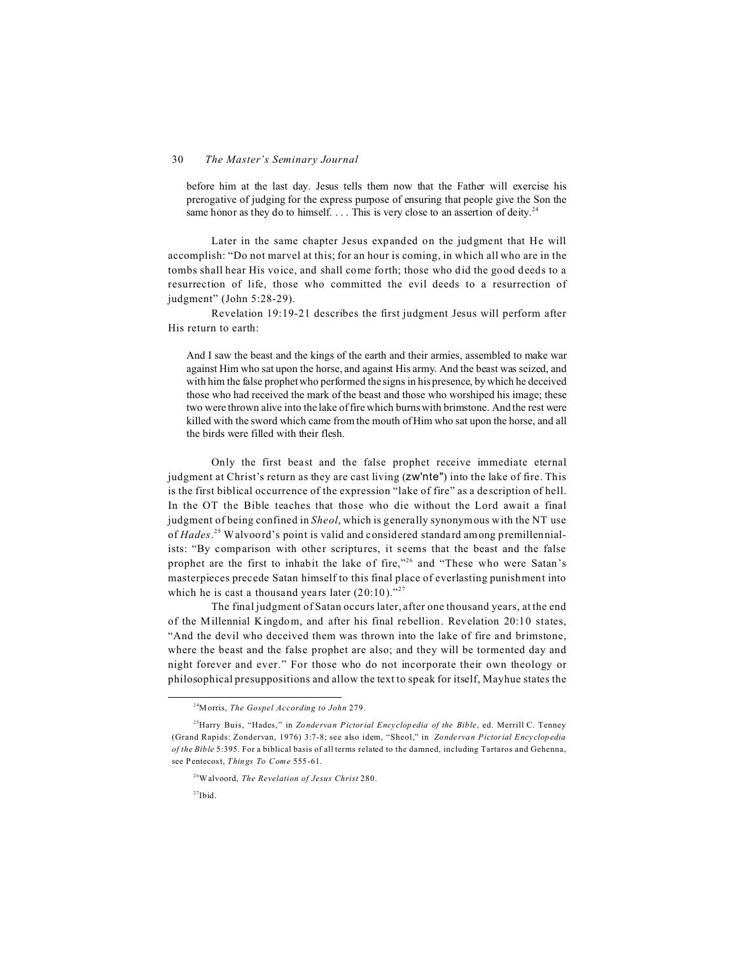before him at the last day. Jesus tells them now that the Father will exercise his prerogative of judging for the express purpose of ensuring that people give the Son the same honor as they do to himself.  $\dots$  This is very close to an assertion of deity.<sup>24</sup>

Later in the same chapter Jesus expanded on the judgment that He will accomplish: "Do not marvel at this; for an hour is coming, in which all who are in the tombs shall hear His voice, and shall come forth; those who did the good deeds to a resurrection of life, those who committed the evil deeds to a resurrection of judgment" (John 5:28-29).

Revelation 19:19-21 describes the first judgment Jesus will perform after His return to earth:

And I saw the beast and the kings of the earth and their armies, assembled to make war against Him who sat upon the horse, and against His army. And the beast was seized, and with him the false prophet who performed the signs in his presence, by which he deceived those who had received the mark of the beast and those who worshiped his image; these two were thrown alive into the lake of fire which burns with brimstone. And the rest were killed with the sword which came from the mouth of Him who sat upon the horse, and all the birds were filled with their flesh.

Only the first beast and the false prophet receive immediate eternal judgment at Christ's return as they are cast living (zw'nte") into the lake of fire. This is the first biblical occurrence of the expression "lake of fire" as a description of hell. In the OT the Bible teaches that those who die without the Lord await a final judgment of being confined in *Sheol*, which is generally synonymous with the NT use of *Hades*. 25 Walvoord's point is valid and considered standard among premillennialists: "By comparison with other scriptures, it seems that the beast and the false prophet are the first to inhabit the lake of fire,"<sup>26</sup> and "These who were Satan's masterpieces precede Satan himself to this final place of everlasting punishment into which he is cast a thousand years later  $(20:10)^{227}$ .

The final judgment of Satan occurs later, after one thousand years, at the end of the Millennial Kingdom, and after his final rebellion. Revelation 20:10 states, "And the devil who deceived them was thrown into the lake of fire and brimstone, where the beast and the false prophet are also; and they will be tormented day and night forever and ever." For those who do not incorporate their own theology or philosophical presuppositions and allow the text to speak for itself, Mayhue states the

<sup>24</sup>Morris, *The Gospel According to John* 279.

<sup>&</sup>lt;sup>25</sup>Harry Buis, "Hades," in *Zondervan Pictorial Encyclopedia of the Bible*, ed. Merrill C. Tenney (Grand Rapids: Zondervan, 1976) 3:7-8; see also idem, "Sheol," in *Zonde rvan Pictorial Ency clopedia of the Bible* 5:395. For a biblical basis of all terms related to the damned, including Tartaros and Gehenna, see Pentecost, *Things To Come* 555-61.

<sup>26</sup>Walvoord, *The Revelation of Jesus Christ* 280.

 $27$ Ibid.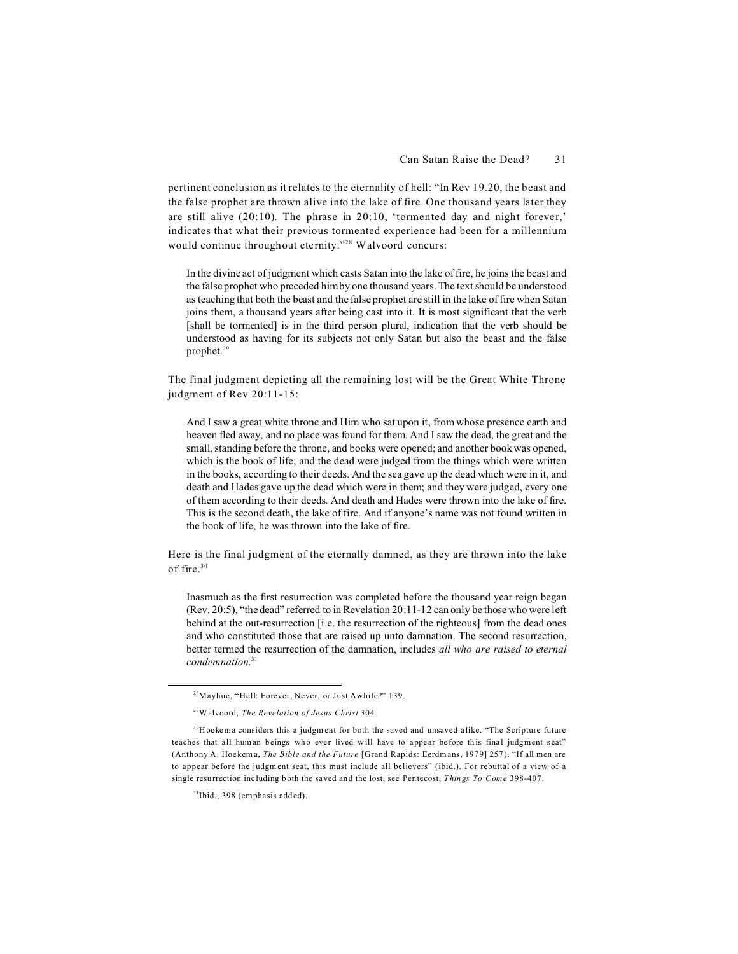pertinent conclusion as it relates to the eternality of hell: "In Rev 19.20, the beast and the false prophet are thrown alive into the lake of fire. One thousand years later they are still alive (20:10). The phrase in 20:10, 'tormented day and night forever,' indicates that what their previous tormented experience had been for a millennium would continue throughout eternity."<sup>28</sup> Walvoord concurs:

In the divine act of judgment which casts Satan into the lake of fire, he joins the beast and the false prophet who preceded him by one thousand years. The text should be understood as teaching that both the beast and the false prophet are still in the lake of fire when Satan joins them, a thousand years after being cast into it. It is most significant that the verb [shall be tormented] is in the third person plural, indication that the verb should be understood as having for its subjects not only Satan but also the beast and the false prophet.<sup>29</sup>

The final judgment depicting all the remaining lost will be the Great White Throne judgment of Rev 20:11-15:

And I saw a great white throne and Him who sat upon it, from whose presence earth and heaven fled away, and no place was found for them. And I saw the dead, the great and the small, standing before the throne, and books were opened; and another book was opened, which is the book of life; and the dead were judged from the things which were written in the books, according to their deeds. And the sea gave up the dead which were in it, and death and Hades gave up the dead which were in them; and they were judged, every one of them according to their deeds. And death and Hades were thrown into the lake of fire. This is the second death, the lake of fire. And if anyone's name was not found written in the book of life, he was thrown into the lake of fire.

Here is the final judgment of the eternally damned, as they are thrown into the lake of fire.<sup>30</sup>

Inasmuch as the first resurrection was completed before the thousand year reign began (Rev. 20:5), "the dead" referred to in Revelation 20:11-12 can only be those who were left behind at the out-resurrection [i.e. the resurrection of the righteous] from the dead ones and who constituted those that are raised up unto damnation. The second resurrection, better termed the resurrection of the damnation, includes *all who are raised to eternal condemnation*. 31

<sup>&</sup>lt;sup>28</sup>Mayhue, "Hell: Forever, Never, or Just Awhile?" 139.

<sup>29</sup>Walvoord, *The Revelation of Jesus Christ* 304.

<sup>&</sup>lt;sup>30</sup>Hoekema considers this a judgm ent for both the saved and unsaved a like. "The Scripture future teaches that all human beings who ever lived will have to appear before this final judgment seat" (Anthony A. Hoe kema, *The Bible and the Future* [Grand Rapids: Eerdm ans, 1979] 257 ). "If all men are to appear before the judgm ent seat, this must include all believers" (ibid.). For rebuttal of a view of a single resu rrection inc luding both the saved an d the lost, see Pentecost, *Things To Come* 398-407.

<sup>31</sup>Ibid., 398 (emphasis added).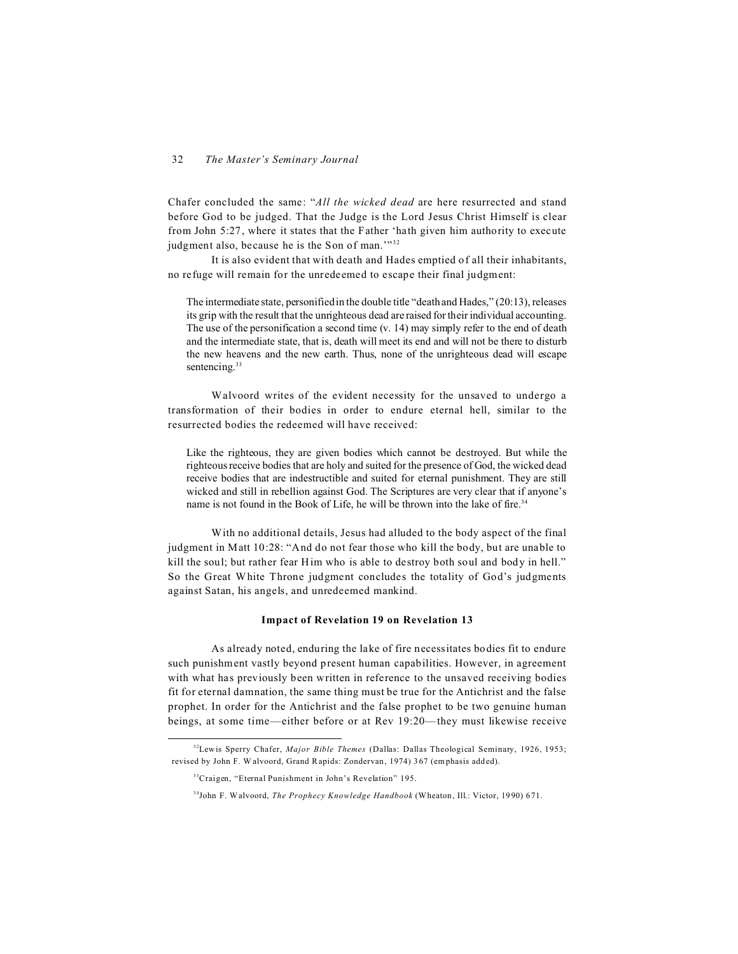Chafer concluded the same: "*All the wicked dead* are here resurrected and stand before God to be judged. That the Judge is the Lord Jesus Christ Himself is clear from John 5:27, where it states that the Father 'hath given him authority to execute judgment also, because he is the Son of man.""<sup>32</sup>

It is also evident that with death and Hades emptied of all their inhabitants, no refuge will remain for the unredeemed to escape their final judgment:

The intermediate state, personified in the double title "death and Hades," (20:13), releases its grip with the result that the unrighteous dead are raised for their individual accounting. The use of the personification a second time (v. 14) may simply refer to the end of death and the intermediate state, that is, death will meet its end and will not be there to disturb the new heavens and the new earth. Thus, none of the unrighteous dead will escape sentencing.<sup>33</sup>

Walvoord writes of the evident necessity for the unsaved to undergo a transformation of their bodies in order to endure eternal hell, similar to the resurrected bodies the redeemed will have received:

Like the righteous, they are given bodies which cannot be destroyed. But while the righteous receive bodies that are holy and suited for the presence of God, the wicked dead receive bodies that are indestructible and suited for eternal punishment. They are still wicked and still in rebellion against God. The Scriptures are very clear that if anyone's name is not found in the Book of Life, he will be thrown into the lake of fire.<sup>34</sup>

With no additional details, Jesus had alluded to the body aspect of the final judgment in Matt 10:28: "And do not fear those who kill the body, but are unable to kill the soul; but rather fear Him who is able to destroy both soul and body in hell." So the Great White Throne judgment concludes the totality of God's judgments against Satan, his angels, and unredeemed mankind.

#### **Impact of Revelation 19 on Revelation 13**

As already noted, enduring the lake of fire necessitates bodies fit to endure such punishment vastly beyond present human capabilities. However, in agreement with what has previously been written in reference to the unsaved receiving bodies fit for eternal damnation, the same thing must be true for the Antichrist and the false prophet. In order for the Antichrist and the false prophet to be two genuine human beings, at some time—either before or at Rev 19:20—they must likewise receive

<sup>32</sup>Lewis Sperry Chafer, *Major Bible Themes* (Dallas: Dallas Theological Seminary, 1926, 1953; revised by John F. W alvoord, Grand Rapids: Zondervan, 1974) 367 (emphasis added).

<sup>&</sup>lt;sup>33</sup>Craigen, "Eternal Punishment in John's Revelation" 195.

<sup>34</sup>John F. Walvoord, *The Prophecy Knowledge Handbook* (Wheaton, Ill.: Victor, 19 90) 671.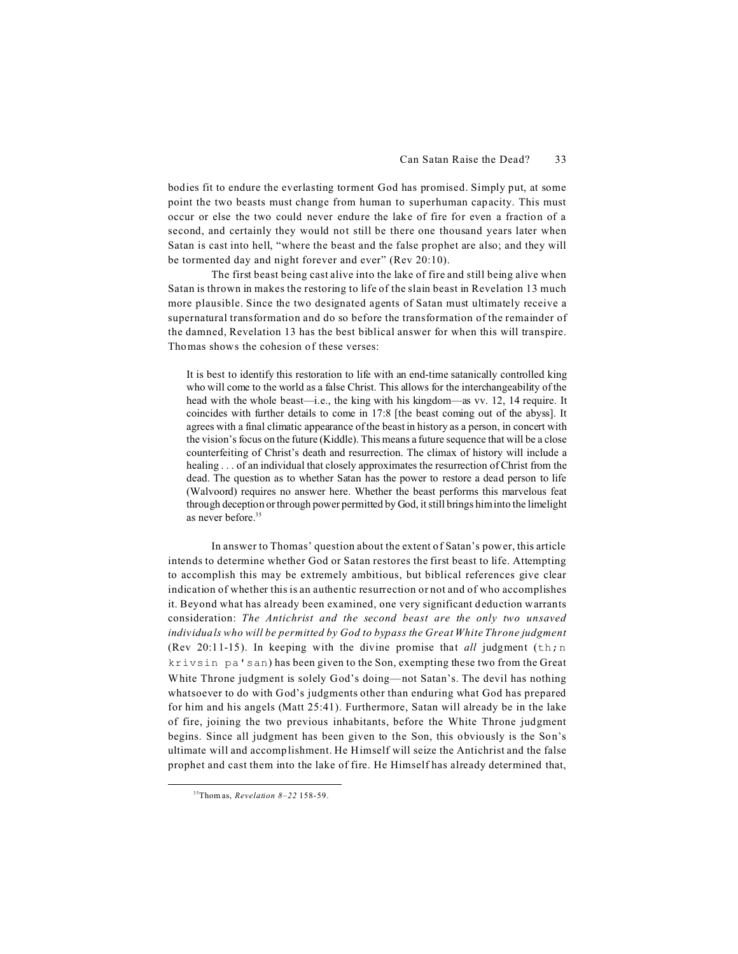bodies fit to endure the everlasting torment God has promised. Simply put, at some point the two beasts must change from human to superhuman capacity. This must occur or else the two could never endure the lake of fire for even a fraction of a second, and certainly they would not still be there one thousand years later when Satan is cast into hell, "where the beast and the false prophet are also; and they will be tormented day and night forever and ever" (Rev 20:10).

The first beast being cast alive into the lake of fire and still being alive when Satan is thrown in makes the restoring to life of the slain beast in Revelation 13 much more plausible. Since the two designated agents of Satan must ultimately receive a supernatural transformation and do so before the transformation of the remainder of the damned, Revelation 13 has the best biblical answer for when this will transpire. Thomas shows the cohesion of these verses:

It is best to identify this restoration to life with an end-time satanically controlled king who will come to the world as a false Christ. This allows for the interchangeability of the head with the whole beast—i.e., the king with his kingdom—as vv. 12, 14 require. It coincides with further details to come in 17:8 [the beast coming out of the abyss]. It agrees with a final climatic appearance of the beast in history as a person, in concert with the vision's focus on the future (Kiddle). This means a future sequence that will be a close counterfeiting of Christ's death and resurrection. The climax of history will include a healing . . . of an individual that closely approximates the resurrection of Christ from the dead. The question as to whether Satan has the power to restore a dead person to life (Walvoord) requires no answer here. Whether the beast performs this marvelous feat through deception or through power permitted by God, it still brings him into the limelight as never before.<sup>35</sup>

In answer to Thomas' question about the extent of Satan's power, this article intends to determine whether God or Satan restores the first beast to life. Attempting to accomplish this may be extremely ambitious, but biblical references give clear indication of whether this is an authentic resurrection or not and of who accomplishes it. Beyond what has already been examined, one very significant deduction warrants consideration: *The Antichrist and the second beast are the only two unsaved individuals who will be permitted by God to bypass the Great White Throne judgment* (Rev 20:11-15). In keeping with the divine promise that *all* judgment  $(\text{th}; n)$ krivsin pa'san) has been given to the Son, exempting these two from the Great White Throne judgment is solely God's doing—not Satan's. The devil has nothing whatsoever to do with God's judgments other than enduring what God has prepared for him and his angels (Matt 25:41). Furthermore, Satan will already be in the lake of fire, joining the two previous inhabitants, before the White Throne judgment begins. Since all judgment has been given to the Son, this obviously is the Son's ultimate will and accomplishment. He Himself will seize the Antichrist and the false prophet and cast them into the lake of fire. He Himself has already determined that,

<sup>35</sup>Thom as, *Revelation 8–22* 158-59.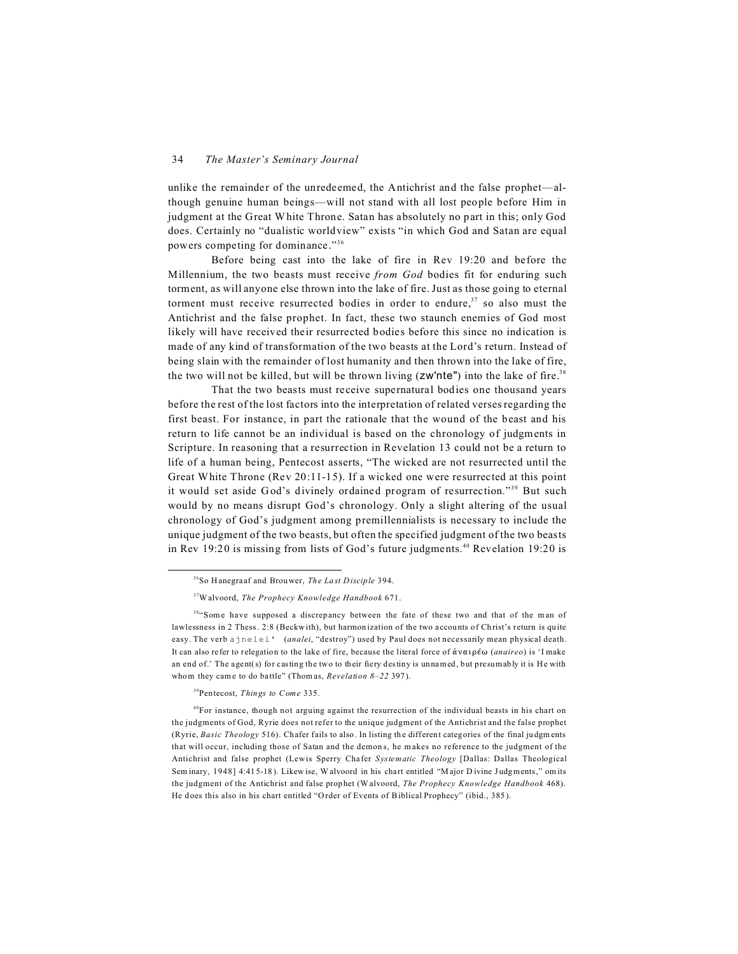unlike the remainder of the unredeemed, the Antichrist and the false prophet—although genuine human beings—will not stand with all lost people before Him in judgment at the Great White Throne. Satan has absolutely no part in this; only God does. Certainly no "dualistic worldview" exists "in which God and Satan are equal powers competing for dominance."<sup>36</sup>

Before being cast into the lake of fire in Rev 19:20 and before the Millennium, the two beasts must receive *from God* bodies fit for enduring such torment, as will anyone else thrown into the lake of fire. Just as those going to eternal torment must receive resurrected bodies in order to endure, $37$  so also must the Antichrist and the false prophet. In fact, these two staunch enemies of God most likely will have received their resurrected bodies before this since no indication is made of any kind of transformation of the two beasts at the Lord's return. Instead of being slain with the remainder of lost humanity and then thrown into the lake of fire, the two will not be killed, but will be thrown living  $(zw')$  into the lake of fire.<sup>38</sup>

That the two beasts must receive supernatural bodies one thousand years before the rest of the lost factors into the interpretation of related verses regarding the first beast. For instance, in part the rationale that the wound of the beast and his return to life cannot be an individual is based on the chronology of judgments in Scripture. In reasoning that a resurrection in Revelation 13 could not be a return to life of a human being, Pentecost asserts, "The wicked are not resurrected until the Great White Throne (Rev 20:11-15). If a wicked one were resurrected at this point it would set aside God's divinely ordained program of resurrection."<sup>39</sup> But such would by no means disrupt God's chronology. Only a slight altering of the usual chronology of God's judgment among premillennialists is necessary to include the unique judgment of the two beasts, but often the specified judgment of the two beasts in Rev 19:20 is missing from lists of God's future judgments.40 Revelation 19:20 is

#### <sup>39</sup>Pentecost, *Things to Come* 335.

<sup>36</sup>So H anegra af and Brouwer, *The La st Disciple* 394.

<sup>37</sup>Walvoord, *The Prophecy Knowledge Handbook* 671.

<sup>&</sup>lt;sup>38</sup>"Some have supposed a discrepancy between the fate of these two and that of the man of lawlessness in 2 Thess. 2:8 (Beckwith), but harmonization of the two accounts of Christ's return is quite easy. The verb ajnelei' (*analei*, "destroy") used by Paul does not necessarily mean physical death. It can also refer to relegation to the lake of fire, because the literal force of άναιρέω (*anaireo*) is 'I make an end of.' The agent(s) for casting the two to their fiery destiny is unnamed, but presumably it is He with whom they came to do battle" (Thom as, *Revelation 8-22* 397).

<sup>&</sup>lt;sup>40</sup>For instance, though not arguing against the resurrection of the individual beasts in his chart on the judgments of God, Ryrie does not refer to the unique judgment of the Antichrist and the false prophet (Ryrie, *Basic Theology* 516). Chafer fails to also. In listing the different categories of the final judgments that will occur, including those of Satan and the demon s, he m akes no reference to the judgment of the Antichrist and false prophet (Lewis Sperry Cha fer *Systematic Theology* [Dallas: Dallas Theological Sem inary, 1948] 4:415-18). Likewise, W alvoord in his chart entitled "Major Divine Judgments," om its the judgment of the Antichrist and false prophet (Walvoord, *The Prophecy Knowledge Handbook* 468). He does this also in his chart entitled "Order of Events of Biblical Prophecy" (ibid., 385).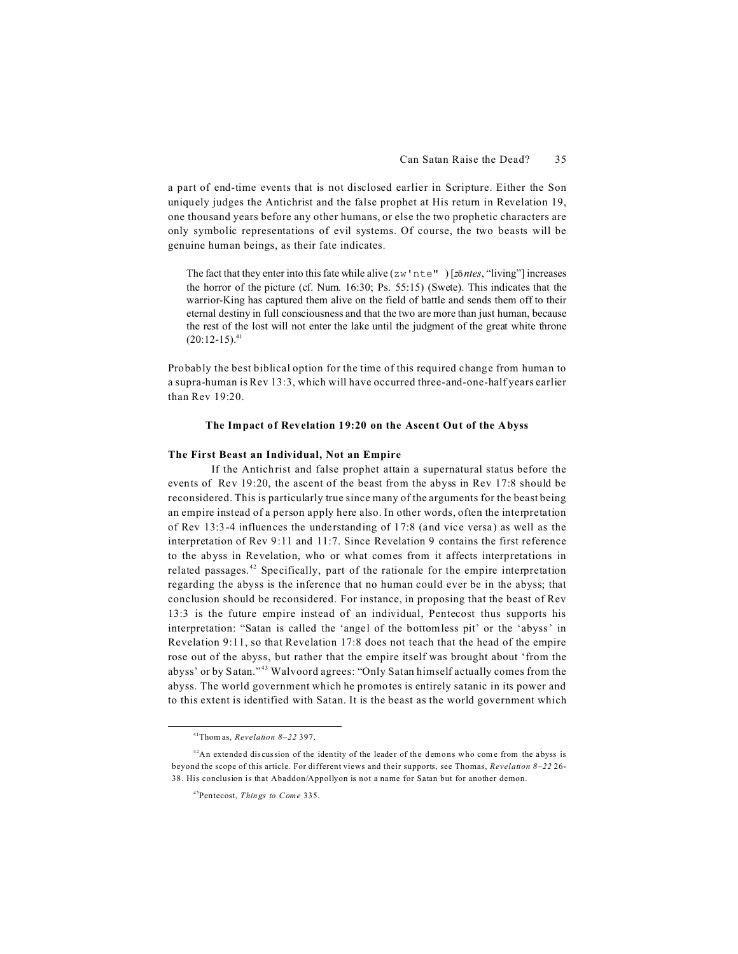a part of end-time events that is not disclosed earlier in Scripture. Either the Son uniquely judges the Antichrist and the false prophet at His return in Revelation 19, one thousand years before any other humans, or else the two prophetic characters are only symbolic representations of evil systems. Of course, the two beasts will be genuine human beings, as their fate indicates.

The fact that they enter into this fate while alive ( $zw$ <sup> $\cdot$ </sup> nte<sup> $\cdot$ </sup>) [ $z\bar{o}$ *ntes*, "living"] increases the horror of the picture (cf. Num. 16:30; Ps. 55:15) (Swete). This indicates that the warrior-King has captured them alive on the field of battle and sends them off to their eternal destiny in full consciousness and that the two are more than just human, because the rest of the lost will not enter the lake until the judgment of the great white throne  $(20:12-15).$ <sup>41</sup>

Probably the best biblical option for the time of this required change from human to a supra-human is Rev 13:3, which will have occurred three-and-one-half years earlier than Rev 19:20.

#### **The Impact of Revelation 19:20 on the Ascent Out of the Abyss**

# **The First Beast an Individual, Not an Empire**

If the Antichrist and false prophet attain a supernatural status before the events of Rev 19:20, the ascent of the beast from the abyss in Rev 17:8 should be reconsidered. This is particularly true since many of the arguments for the beast being an empire instead of a person apply here also. In other words, often the interpretation of Rev 13:3-4 influences the understanding of 17:8 (and vice versa) as well as the interpretation of Rev 9:11 and 11:7. Since Revelation 9 contains the first reference to the abyss in Revelation, who or what comes from it affects interpretations in related passages. <sup>42</sup> Specifically, part of the rationale for the empire interpretation regarding the abyss is the inference that no human could ever be in the abyss; that conclusion should be reconsidered. For instance, in proposing that the beast of Rev 13:3 is the future empire instead of an individual, Pentecost thus supports his interpretation: "Satan is called the 'angel of the bottomless pit' or the 'abyss' in Revelation 9:11, so that Revelation 17:8 does not teach that the head of the empire rose out of the abyss, but rather that the empire itself was brought about 'from the abyss' or by Satan." <sup>43</sup> Walvoord agrees: "Only Satan himself actually comes from the abyss. The world government which he promotes is entirely satanic in its power and to this extent is identified with Satan. It is the beast as the world government which

<sup>41</sup>Thom as, *Revelation 8–22* 397.

 $42$ An extended discussion of the identity of the leader of the demons who come from the abyss is beyond the scope of this article. For different views and their supports, see Thomas, *Revelation 8–22* 26- 38. His conclusion is that Abaddon/Appollyon is not a name for Satan but for another demon.

<sup>43</sup>Pentecost, *Things to Come* 335.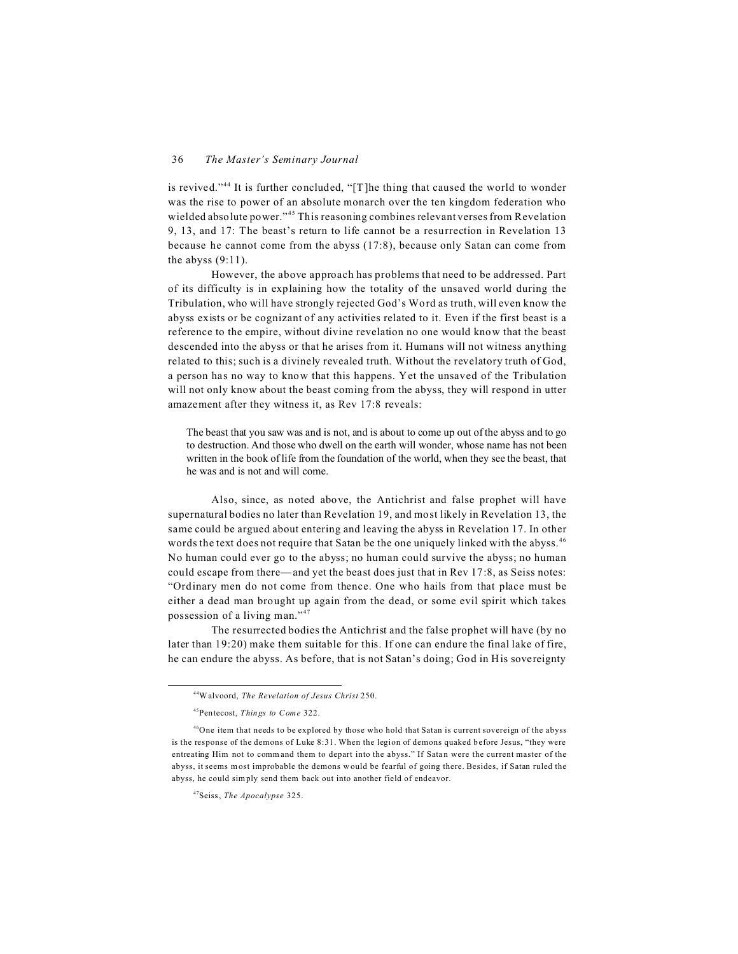is revived."<sup>44</sup> It is further concluded, "[T]he thing that caused the world to wonder was the rise to power of an absolute monarch over the ten kingdom federation who wielded absolute power."<sup>45</sup> This reasoning combines relevant verses from Revelation 9, 13, and 17: The beast's return to life cannot be a resurrection in Revelation 13 because he cannot come from the abyss (17:8), because only Satan can come from the abyss  $(9:11)$ .

However, the above approach has problems that need to be addressed. Part of its difficulty is in explaining how the totality of the unsaved world during the Tribulation, who will have strongly rejected God's Word as truth, will even know the abyss exists or be cognizant of any activities related to it. Even if the first beast is a reference to the empire, without divine revelation no one would know that the beast descended into the abyss or that he arises from it. Humans will not witness anything related to this; such is a divinely revealed truth. Without the revelatory truth of God, a person has no way to know that this happens. Yet the unsaved of the Tribulation will not only know about the beast coming from the abyss, they will respond in utter amazement after they witness it, as Rev 17:8 reveals:

The beast that you saw was and is not, and is about to come up out of the abyss and to go to destruction. And those who dwell on the earth will wonder, whose name has not been written in the book of life from the foundation of the world, when they see the beast, that he was and is not and will come.

Also, since, as noted above, the Antichrist and false prophet will have supernatural bodies no later than Revelation 19, and most likely in Revelation 13, the same could be argued about entering and leaving the abyss in Revelation 17. In other words the text does not require that Satan be the one uniquely linked with the abyss.<sup>46</sup> No human could ever go to the abyss; no human could survive the abyss; no human could escape from there—and yet the beast does just that in Rev 17:8, as Seiss notes: "Ordinary men do not come from thence. One who hails from that place must be either a dead man brought up again from the dead, or some evil spirit which takes possession of a living man."<sup>47</sup>

The resurrected bodies the Antichrist and the false prophet will have (by no later than 19:20) make them suitable for this. If one can endure the final lake of fire, he can endure the abyss. As before, that is not Satan's doing; God in His sovereignty

<sup>44</sup>Walvoord, *The Revelation of Jesus Christ* 250.

<sup>45</sup>Pentecost, *Things to Come* 322.

<sup>&</sup>lt;sup>46</sup>One item that needs to be explored by those who hold that Satan is current sovereign of the abyss is the response of the demons of Luke 8:31. When the legion of demons quaked b efore Jesus, "they were entreating Him not to command them to depart into the abyss." If Satan were the current master of the abyss, it seems m ost improbable the demons w ould be fearful of going there. Besides, if Satan ruled the abyss, he could simply send them back out into another field of endeavor.

<sup>47</sup>Seiss, *The Apocalypse* 325.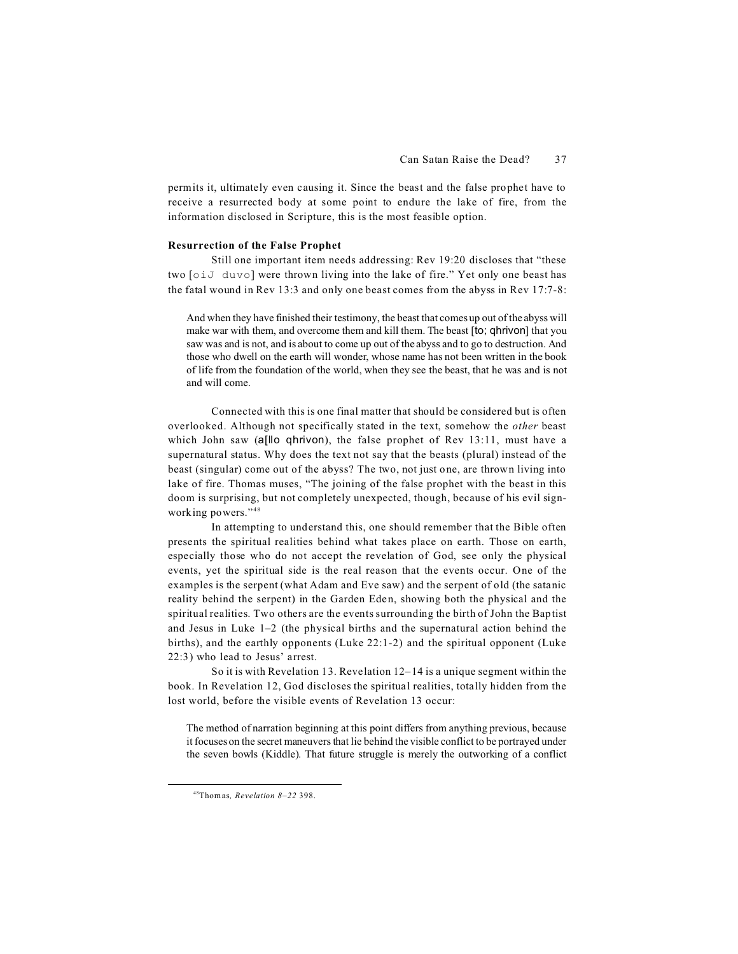permits it, ultimately even causing it. Since the beast and the false prophet have to receive a resurrected body at some point to endure the lake of fire, from the information disclosed in Scripture, this is the most feasible option.

## **Resurrection of the False Prophet**

Still one important item needs addressing: Rev 19:20 discloses that "these two [oiJ duvo] were thrown living into the lake of fire." Yet only one beast has the fatal wound in Rev 13:3 and only one beast comes from the abyss in Rev 17:7-8:

And when they have finished their testimony, the beast that comes up out of the abyss will make war with them, and overcome them and kill them. The beast [to; qhrivon] that you saw was and is not, and is about to come up out of the abyss and to go to destruction. And those who dwell on the earth will wonder, whose name has not been written in the book of life from the foundation of the world, when they see the beast, that he was and is not and will come.

Connected with this is one final matter that should be considered but is often overlooked. Although not specifically stated in the text, somehow the *other* beast which John saw (allo ghrivon), the false prophet of Rev 13:11, must have a supernatural status. Why does the text not say that the beasts (plural) instead of the beast (singular) come out of the abyss? The two, not just one, are thrown living into lake of fire. Thomas muses, "The joining of the false prophet with the beast in this doom is surprising, but not completely unexpected, though, because of his evil signworking powers."<sup>48</sup>

In attempting to understand this, one should remember that the Bible often presents the spiritual realities behind what takes place on earth. Those on earth, especially those who do not accept the revelation of God, see only the physical events, yet the spiritual side is the real reason that the events occur. One of the examples is the serpent (what Adam and Eve saw) and the serpent of old (the satanic reality behind the serpent) in the Garden Eden, showing both the physical and the spiritual realities. Two others are the events surrounding the birth of John the Baptist and Jesus in Luke 1–2 (the physical births and the supernatural action behind the births), and the earthly opponents (Luke 22:1-2) and the spiritual opponent (Luke 22:3) who lead to Jesus' arrest.

So it is with Revelation 13. Revelation 12–14 is a unique segment within the book. In Revelation 12, God discloses the spiritual realities, totally hidden from the lost world, before the visible events of Revelation 13 occur:

The method of narration beginning at this point differs from anything previous, because it focuses on the secret maneuvers that lie behind the visible conflict to be portrayed under the seven bowls (Kiddle). That future struggle is merely the outworking of a conflict

<sup>48</sup>Thomas*, Revelation 8–22* 398.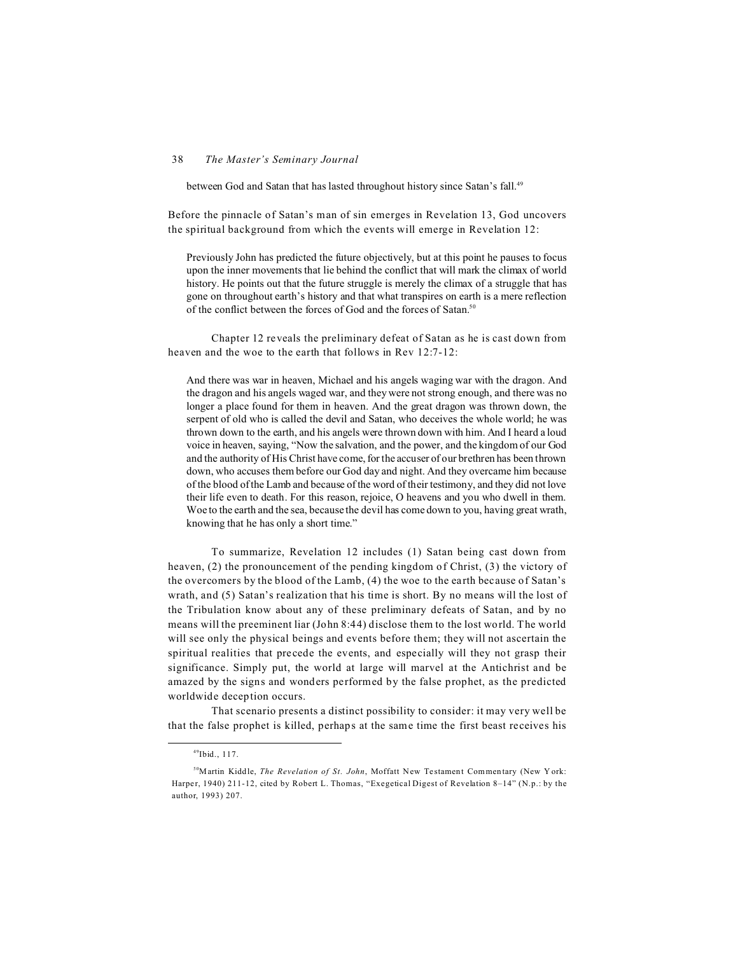between God and Satan that has lasted throughout history since Satan's fall.<sup>49</sup>

Before the pinnacle of Satan's man of sin emerges in Revelation 13, God uncovers the spiritual background from which the events will emerge in Revelation 12:

Previously John has predicted the future objectively, but at this point he pauses to focus upon the inner movements that lie behind the conflict that will mark the climax of world history. He points out that the future struggle is merely the climax of a struggle that has gone on throughout earth's history and that what transpires on earth is a mere reflection of the conflict between the forces of God and the forces of Satan.<sup>50</sup>

Chapter 12 reveals the preliminary defeat of Satan as he is cast down from heaven and the woe to the earth that follows in Rev 12:7-12:

And there was war in heaven, Michael and his angels waging war with the dragon. And the dragon and his angels waged war, and they were not strong enough, and there was no longer a place found for them in heaven. And the great dragon was thrown down, the serpent of old who is called the devil and Satan, who deceives the whole world; he was thrown down to the earth, and his angels were thrown down with him. And I heard a loud voice in heaven, saying, "Now the salvation, and the power, and the kingdom of our God and the authority of His Christ have come, for the accuser of our brethren has been thrown down, who accuses them before our God day and night. And they overcame him because of the blood of the Lamb and because of the word of their testimony, and they did not love their life even to death. For this reason, rejoice, O heavens and you who dwell in them. Woe to the earth and the sea, because the devil has come down to you, having great wrath, knowing that he has only a short time."

To summarize, Revelation 12 includes (1) Satan being cast down from heaven, (2) the pronouncement of the pending kingdom of Christ, (3) the victory of the overcomers by the blood of the Lamb, (4) the woe to the earth because of Satan's wrath, and (5) Satan's realization that his time is short. By no means will the lost of the Tribulation know about any of these preliminary defeats of Satan, and by no means will the preeminent liar (John 8:44) disclose them to the lost world. The world will see only the physical beings and events before them; they will not ascertain the spiritual realities that precede the events, and especially will they not grasp their significance. Simply put, the world at large will marvel at the Antichrist and be amazed by the signs and wonders performed by the false prophet, as the predicted worldwide deception occurs.

That scenario presents a distinct possibility to consider: it may very well be that the false prophet is killed, perhaps at the same time the first beast receives his

<sup>49</sup>Ibid., 117.

<sup>&</sup>lt;sup>50</sup>Martin Kiddle, *The Revelation of St. John*, Moffatt New Testament Commentary (New York: Harper, 1940) 211-12, cited by Robert L. Thomas, "Exegetical Digest of Revelation 8-14" (N.p.: by the author, 1993) 207.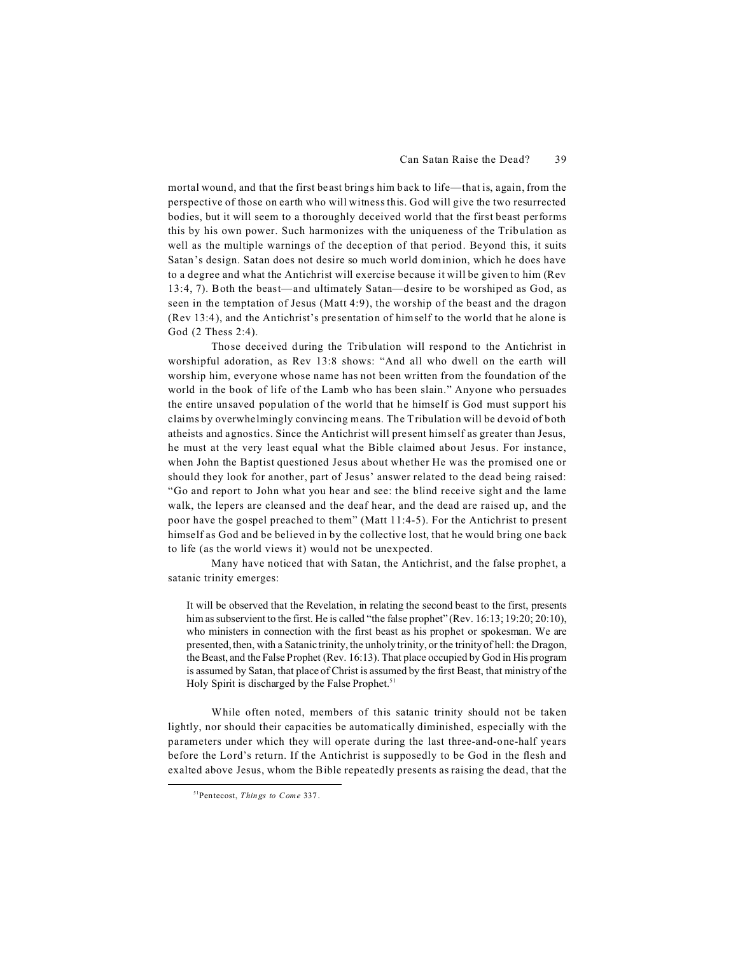mortal wound, and that the first beast brings him back to life—that is, again, from the perspective of those on earth who will witness this. God will give the two resurrected bodies, but it will seem to a thoroughly deceived world that the first beast performs this by his own power. Such harmonizes with the uniqueness of the Tribulation as well as the multiple warnings of the deception of that period. Beyond this, it suits Satan's design. Satan does not desire so much world dominion, which he does have to a degree and what the Antichrist will exercise because it will be given to him (Rev 13:4, 7). Both the beast—and ultimately Satan—desire to be worshiped as God, as seen in the temptation of Jesus (Matt 4:9), the worship of the beast and the dragon (Rev 13:4), and the Antichrist's presentation of himself to the world that he alone is God (2 Thess 2:4).

Those deceived during the Tribulation will respond to the Antichrist in worshipful adoration, as Rev 13:8 shows: "And all who dwell on the earth will worship him, everyone whose name has not been written from the foundation of the world in the book of life of the Lamb who has been slain." Anyone who persuades the entire unsaved population of the world that he himself is God must support his claims by overwhelmingly convincing means. The Tribulation will be devoid of both atheists and agnostics. Since the Antichrist will present himself as greater than Jesus, he must at the very least equal what the Bible claimed about Jesus. For instance, when John the Baptist questioned Jesus about whether He was the promised one or should they look for another, part of Jesus' answer related to the dead being raised: "Go and report to John what you hear and see: the blind receive sight and the lame walk, the lepers are cleansed and the deaf hear, and the dead are raised up, and the poor have the gospel preached to them" (Matt 11:4-5). For the Antichrist to present himself as God and be believed in by the collective lost, that he would bring one back to life (as the world views it) would not be unexpected.

Many have noticed that with Satan, the Antichrist, and the false prophet, a satanic trinity emerges:

It will be observed that the Revelation, in relating the second beast to the first, presents him as subservient to the first. He is called "the false prophet" (Rev. 16:13; 19:20; 20:10), who ministers in connection with the first beast as his prophet or spokesman. We are presented, then, with a Satanic trinity, the unholy trinity, or the trinity of hell: the Dragon, the Beast, and the False Prophet (Rev. 16:13). That place occupied by God in His program is assumed by Satan, that place of Christ is assumed by the first Beast, that ministry of the Holy Spirit is discharged by the False Prophet.<sup>51</sup>

While often noted, members of this satanic trinity should not be taken lightly, nor should their capacities be automatically diminished, especially with the parameters under which they will operate during the last three-and-one-half years before the Lord's return. If the Antichrist is supposedly to be God in the flesh and exalted above Jesus, whom the Bible repeatedly presents as raising the dead, that the

<sup>51</sup>Pentecost, *Things to Come* 337.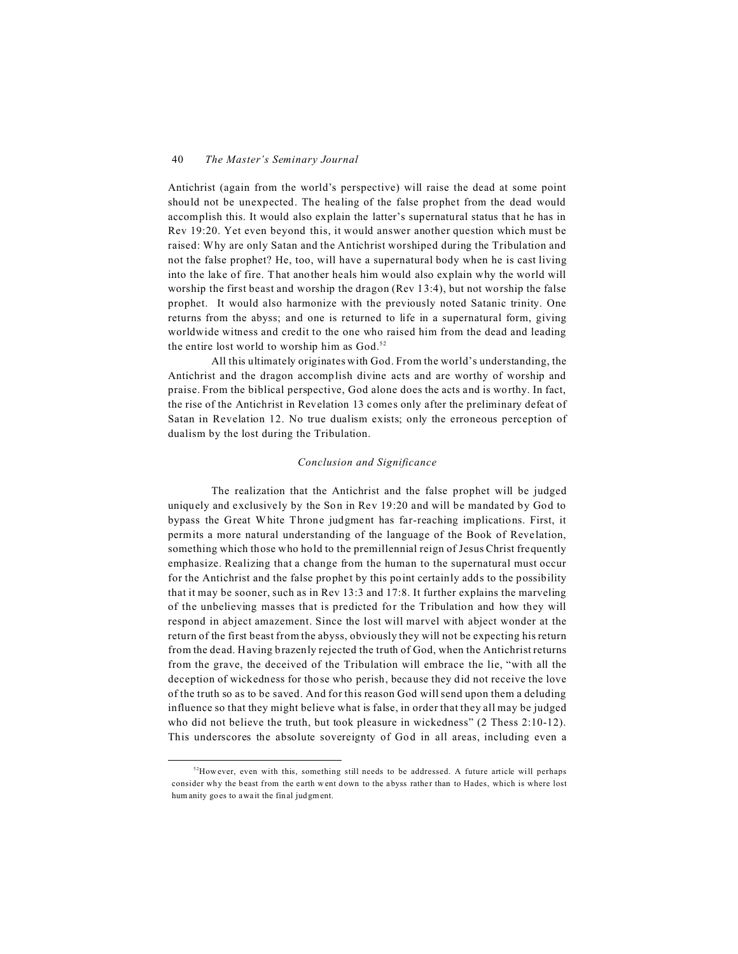Antichrist (again from the world's perspective) will raise the dead at some point should not be unexpected. The healing of the false prophet from the dead would accomplish this. It would also explain the latter's supernatural status that he has in Rev 19:20. Yet even beyond this, it would answer another question which must be raised: Why are only Satan and the Antichrist worshiped during the Tribulation and not the false prophet? He, too, will have a supernatural body when he is cast living into the lake of fire. That another heals him would also explain why the world will worship the first beast and worship the dragon (Rev 13:4), but not worship the false prophet. It would also harmonize with the previously noted Satanic trinity. One returns from the abyss; and one is returned to life in a supernatural form, giving worldwide witness and credit to the one who raised him from the dead and leading the entire lost world to worship him as God.<sup>52</sup>

All this ultimately originates with God. From the world's understanding, the Antichrist and the dragon accomplish divine acts and are worthy of worship and praise. From the biblical perspective, God alone does the acts and is worthy. In fact, the rise of the Antichrist in Revelation 13 comes only after the preliminary defeat of Satan in Revelation 12. No true dualism exists; only the erroneous perception of dualism by the lost during the Tribulation.

### *Conclusion and Significance*

The realization that the Antichrist and the false prophet will be judged uniquely and exclusively by the Son in Rev 19:20 and will be mandated by God to bypass the Great White Throne judgment has far-reaching implications. First, it permits a more natural understanding of the language of the Book of Reve lation, something which those who hold to the premillennial reign of Jesus Christ frequently emphasize. Realizing that a change from the human to the supernatural must occur for the Antichrist and the false prophet by this point certainly adds to the possibility that it may be sooner, such as in Rev 13:3 and 17:8. It further explains the marveling of the unbelieving masses that is predicted for the Tribulation and how they will respond in abject amazement. Since the lost will marvel with abject wonder at the return of the first beast from the abyss, obviously they will not be expecting his return from the dead. Having brazenly rejected the truth of God, when the Antichrist returns from the grave, the deceived of the Tribulation will embrace the lie, "with all the deception of wickedness for those who perish, because they did not receive the love of the truth so as to be saved. And for this reason God will send upon them a deluding influence so that they might believe what is false, in order that they all may be judged who did not believe the truth, but took pleasure in wickedness" (2 Thess 2:10-12). This underscores the absolute sovereignty of God in all areas, including even a

<sup>&</sup>lt;sup>52</sup>However, even with this, something still needs to be addressed. A future article will perhaps consider why the beast from the earth w ent down to the abyss rathe r than to Hades, which is where lost hum anity goes to await the final judgment.